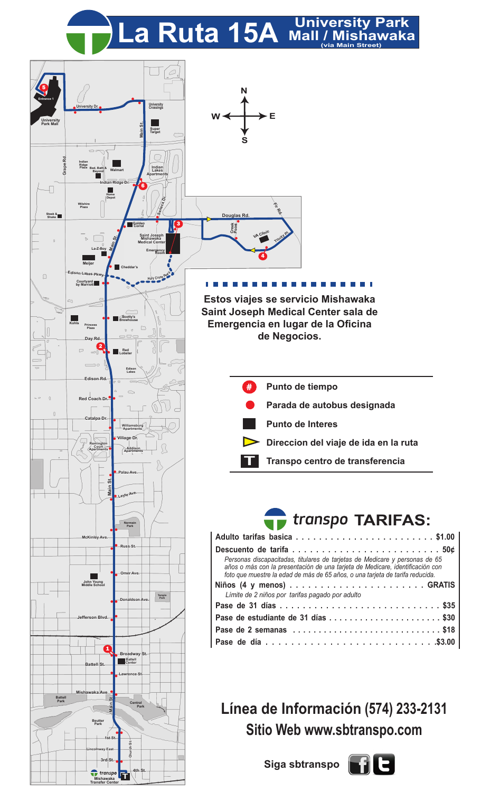La Ruta 15A University Park